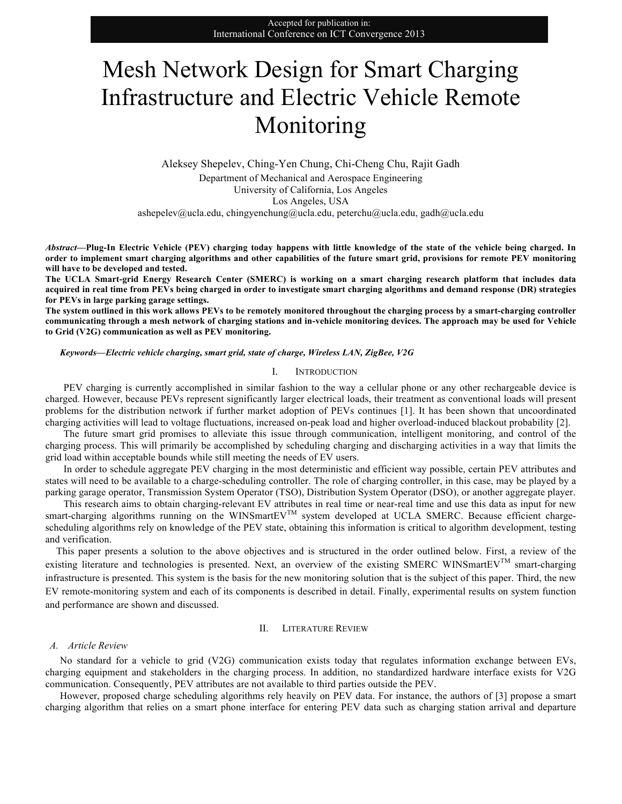# Mesh Network Design for Smart Charging Infrastructure and Electric Vehicle Remote Monitoring

Aleksey Shepelev, Ching-Yen Chung, Chi-Cheng Chu, Rajit Gadh Department of Mechanical and Aerospace Engineering University of California, Los Angeles Los Angeles, USA ashepelev@ucla.edu, chingyenchung@ucla.edu, peterchu@ucla.edu, gadh@ucla.edu

*Abstract***—Plug-In Electric Vehicle (PEV) charging today happens with little knowledge of the state of the vehicle being charged. In order to implement smart charging algorithms and other capabilities of the future smart grid, provisions for remote PEV monitoring will have to be developed and tested.**

**The UCLA Smart-grid Energy Research Center (SMERC) is working on a smart charging research platform that includes data acquired in real time from PEVs being charged in order to investigate smart charging algorithms and demand response (DR) strategies for PEVs in large parking garage settings.** 

**The system outlined in this work allows PEVs to be remotely monitored throughout the charging process by a smart-charging controller communicating through a mesh network of charging stations and in-vehicle monitoring devices. The approach may be used for Vehicle to Grid (V2G) communication as well as PEV monitoring.**

#### *Keywords—Electric vehicle charging, smart grid, state of charge, Wireless LAN, ZigBee, V2G*

#### I. INTRODUCTION

PEV charging is currently accomplished in similar fashion to the way a cellular phone or any other rechargeable device is charged. However, because PEVs represent significantly larger electrical loads, their treatment as conventional loads will present problems for the distribution network if further market adoption of PEVs continues [1]. It has been shown that uncoordinated charging activities will lead to voltage fluctuations, increased on-peak load and higher overload-induced blackout probability [2].

The future smart grid promises to alleviate this issue through communication, intelligent monitoring, and control of the charging process. This will primarily be accomplished by scheduling charging and discharging activities in a way that limits the grid load within acceptable bounds while still meeting the needs of EV users.

In order to schedule aggregate PEV charging in the most deterministic and efficient way possible, certain PEV attributes and states will need to be available to a charge-scheduling controller. The role of charging controller, in this case, may be played by a parking garage operator, Transmission System Operator (TSO), Distribution System Operator (DSO), or another aggregate player.

This research aims to obtain charging-relevant EV attributes in real time or near-real time and use this data as input for new smart-charging algorithms running on the WINSmartEV<sup>TM</sup> system developed at UCLA SMERC. Because efficient chargescheduling algorithms rely on knowledge of the PEV state, obtaining this information is critical to algorithm development, testing and verification.

This paper presents a solution to the above objectives and is structured in the order outlined below. First, a review of the existing literature and technologies is presented. Next, an overview of the existing SMERC WINSmartEVTM smart-charging infrastructure is presented. This system is the basis for the new monitoring solution that is the subject of this paper. Third, the new EV remote-monitoring system and each of its components is described in detail. Finally, experimental results on system function and performance are shown and discussed.

# II. LITERATURE REVIEW

#### *A. Article Review*

No standard for a vehicle to grid (V2G) communication exists today that regulates information exchange between EVs, charging equipment and stakeholders in the charging process. In addition, no standardized hardware interface exists for V2G communication. Consequently, PEV attributes are not available to third parties outside the PEV.

However, proposed charge scheduling algorithms rely heavily on PEV data. For instance, the authors of [3] propose a smart charging algorithm that relies on a smart phone interface for entering PEV data such as charging station arrival and departure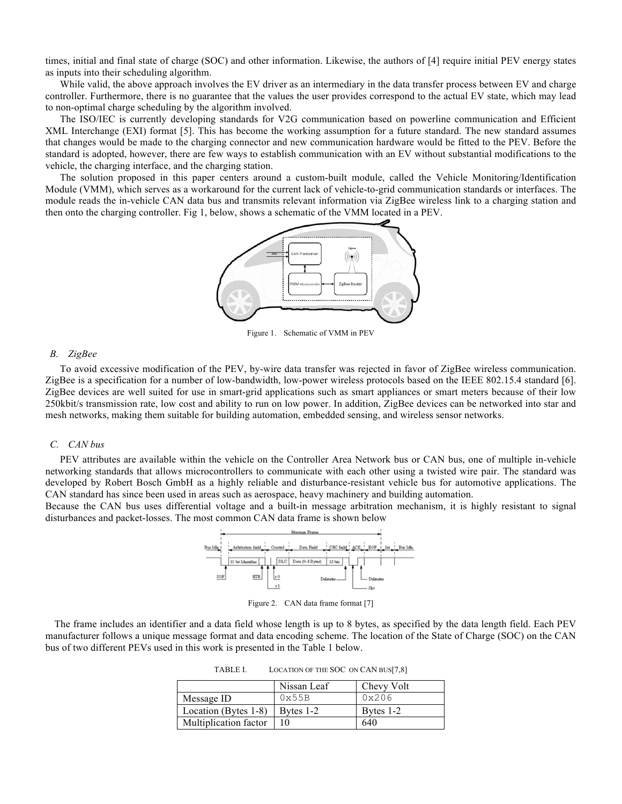times, initial and final state of charge (SOC) and other information. Likewise, the authors of [4] require initial PEV energy states as inputs into their scheduling algorithm.

While valid, the above approach involves the EV driver as an intermediary in the data transfer process between EV and charge controller. Furthermore, there is no guarantee that the values the user provides correspond to the actual EV state, which may lead to non-optimal charge scheduling by the algorithm involved.

The ISO/IEC is currently developing standards for V2G communication based on powerline communication and Efficient XML Interchange (EXI) format [5]. This has become the working assumption for a future standard. The new standard assumes that changes would be made to the charging connector and new communication hardware would be fitted to the PEV. Before the standard is adopted, however, there are few ways to establish communication with an EV without substantial modifications to the vehicle, the charging interface, and the charging station.

The solution proposed in this paper centers around a custom-built module, called the Vehicle Monitoring/Identification Module (VMM), which serves as a workaround for the current lack of vehicle-to-grid communication standards or interfaces. The module reads the in-vehicle CAN data bus and transmits relevant information via ZigBee wireless link to a charging station and then onto the charging controller. Fig 1, below, shows a schematic of the VMM located in a PEV.



Figure 1. Schematic of VMM in PEV

#### *B. ZigBee*

To avoid excessive modification of the PEV, by-wire data transfer was rejected in favor of ZigBee wireless communication. ZigBee is a specification for a number of low-bandwidth, low-power wireless protocols based on the IEEE 802.15.4 standard [6]. ZigBee devices are well suited for use in smart-grid applications such as smart appliances or smart meters because of their low 250kbit/s transmission rate, low cost and ability to run on low power. In addition, ZigBee devices can be networked into star and mesh networks, making them suitable for building automation, embedded sensing, and wireless sensor networks.

## *C. CAN bus*

PEV attributes are available within the vehicle on the Controller Area Network bus or CAN bus, one of multiple in-vehicle networking standards that allows microcontrollers to communicate with each other using a twisted wire pair. The standard was developed by Robert Bosch GmbH as a highly reliable and disturbance-resistant vehicle bus for automotive applications. The CAN standard has since been used in areas such as aerospace, heavy machinery and building automation.

Because the CAN bus uses differential voltage and a built-in message arbitration mechanism, it is highly resistant to signal disturbances and packet-losses. The most common CAN data frame is shown below



Figure 2. CAN data frame format [7]

The frame includes an identifier and a data field whose length is up to 8 bytes, as specified by the data length field. Each PEV manufacturer follows a unique message format and data encoding scheme. The location of the State of Charge (SOC) on the CAN bus of two different PEVs used in this work is presented in the Table 1 below.

TABLE I. LOCATION OF THE SOC ON CAN BUS[7,8]

|                       | Nissan Leaf | Chevy Volt |
|-----------------------|-------------|------------|
| Message ID            | 0x55B       | 0x206      |
| Location (Bytes 1-8)  | Bytes 1-2   | Bytes 1-2  |
| Multiplication factor |             | 640        |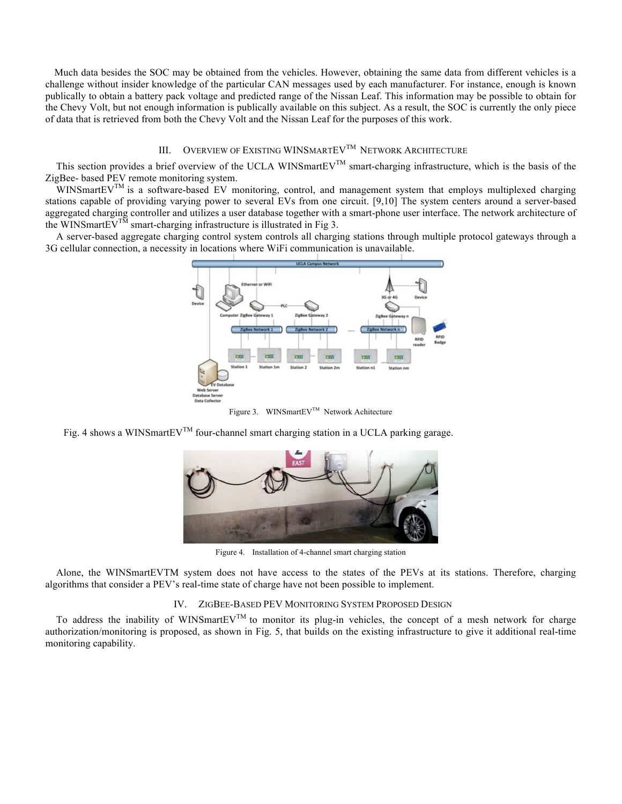Much data besides the SOC may be obtained from the vehicles. However, obtaining the same data from different vehicles is a challenge without insider knowledge of the particular CAN messages used by each manufacturer. For instance, enough is known publically to obtain a battery pack voltage and predicted range of the Nissan Leaf. This information may be possible to obtain for the Chevy Volt, but not enough information is publically available on this subject. As a result, the SOC is currently the only piece of data that is retrieved from both the Chevy Volt and the Nissan Leaf for the purposes of this work.

# III. OVERVIEW OF EXISTING WINSMARTEV<sup>TM</sup> NETWORK ARCHITECTURE

This section provides a brief overview of the UCLA WINSmartEV<sup>TM</sup> smart-charging infrastructure, which is the basis of the ZigBee- based PEV remote monitoring system.

 $WINSmartEV^{TM}$  is a software-based EV monitoring, control, and management system that employs multiplexed charging stations capable of providing varying power to several EVs from one circuit. [9,10] The system centers around a server-based aggregated charging controller and utilizes a user database together with a smart-phone user interface. The network architecture of the WINSmartEV<sup>TM</sup> smart-charging infrastructure is illustrated in Fig 3.

A server-based aggregate charging control system controls all charging stations through multiple protocol gateways through a 3G cellular connection, a necessity in locations where WiFi communication is unavailable.



Figure 3. WINSmartEV<sup>TM</sup> Network Achitecture

Fig. 4 shows a WINSmartEV<sup>TM</sup> four-channel smart charging station in a UCLA parking garage.



Figure 4. Installation of 4-channel smart charging station

Alone, the WINSmartEVTM system does not have access to the states of the PEVs at its stations. Therefore, charging algorithms that consider a PEV's real-time state of charge have not been possible to implement.

# IV. ZIGBEE-BASED PEV MONITORING SYSTEM PROPOSED DESIGN

To address the inability of WINSmartEV<sup>TM</sup> to monitor its plug-in vehicles, the concept of a mesh network for charge authorization/monitoring is proposed, as shown in Fig. 5, that builds on the existing infrastructure to give it additional real-time monitoring capability.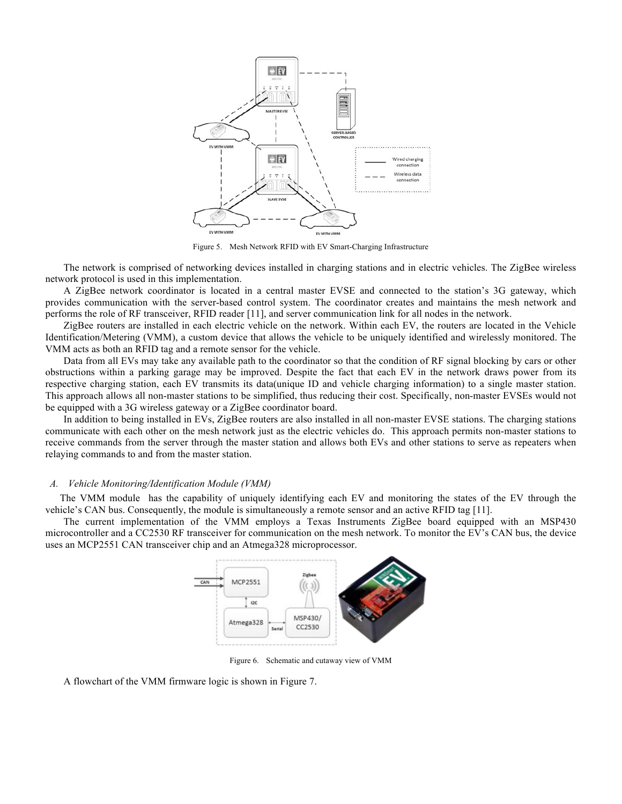

Figure 5. Mesh Network RFID with EV Smart-Charging Infrastructure

The network is comprised of networking devices installed in charging stations and in electric vehicles. The ZigBee wireless network protocol is used in this implementation.

A ZigBee network coordinator is located in a central master EVSE and connected to the station's 3G gateway, which provides communication with the server-based control system. The coordinator creates and maintains the mesh network and performs the role of RF transceiver, RFID reader [11], and server communication link for all nodes in the network.

ZigBee routers are installed in each electric vehicle on the network. Within each EV, the routers are located in the Vehicle Identification/Metering (VMM), a custom device that allows the vehicle to be uniquely identified and wirelessly monitored. The VMM acts as both an RFID tag and a remote sensor for the vehicle.

Data from all EVs may take any available path to the coordinator so that the condition of RF signal blocking by cars or other obstructions within a parking garage may be improved. Despite the fact that each EV in the network draws power from its respective charging station, each EV transmits its data(unique ID and vehicle charging information) to a single master station. This approach allows all non-master stations to be simplified, thus reducing their cost. Specifically, non-master EVSEs would not be equipped with a 3G wireless gateway or a ZigBee coordinator board.

In addition to being installed in EVs, ZigBee routers are also installed in all non-master EVSE stations. The charging stations communicate with each other on the mesh network just as the electric vehicles do. This approach permits non-master stations to receive commands from the server through the master station and allows both EVs and other stations to serve as repeaters when relaying commands to and from the master station.

# *A. Vehicle Monitoring/Identification Module (VMM)*

The VMM module has the capability of uniquely identifying each EV and monitoring the states of the EV through the vehicle's CAN bus. Consequently, the module is simultaneously a remote sensor and an active RFID tag [11].

The current implementation of the VMM employs a Texas Instruments ZigBee board equipped with an MSP430 microcontroller and a CC2530 RF transceiver for communication on the mesh network. To monitor the EV's CAN bus, the device uses an MCP2551 CAN transceiver chip and an Atmega328 microprocessor.



Figure 6. Schematic and cutaway view of VMM

A flowchart of the VMM firmware logic is shown in Figure 7.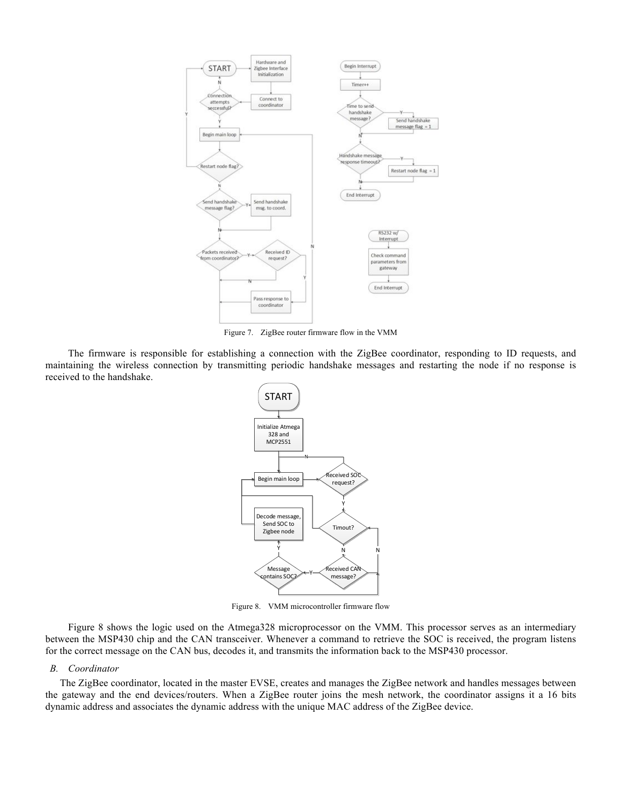

Figure 7. ZigBee router firmware flow in the VMM

The firmware is responsible for establishing a connection with the ZigBee coordinator, responding to ID requests, and maintaining the wireless connection by transmitting periodic handshake messages and restarting the node if no response is received to the handshake.



Figure 8. VMM microcontroller firmware flow

Figure 8 shows the logic used on the Atmega328 microprocessor on the VMM. This processor serves as an intermediary between the MSP430 chip and the CAN transceiver. Whenever a command to retrieve the SOC is received, the program listens for the correct message on the CAN bus, decodes it, and transmits the information back to the MSP430 processor.

## *B. Coordinator*

The ZigBee coordinator, located in the master EVSE, creates and manages the ZigBee network and handles messages between the gateway and the end devices/routers. When a ZigBee router joins the mesh network, the coordinator assigns it a 16 bits dynamic address and associates the dynamic address with the unique MAC address of the ZigBee device.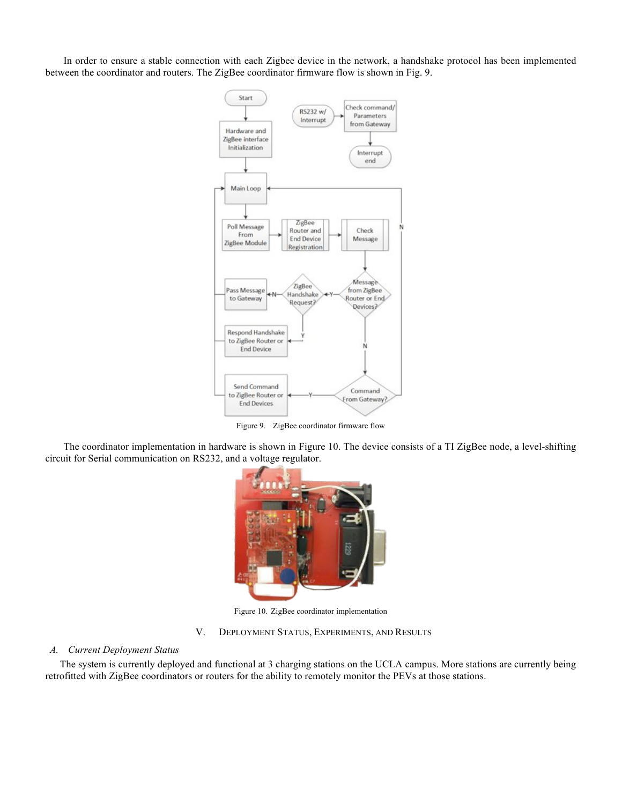In order to ensure a stable connection with each Zigbee device in the network, a handshake protocol has been implemented between the coordinator and routers. The ZigBee coordinator firmware flow is shown in Fig. 9.



Figure 9. ZigBee coordinator firmware flow

The coordinator implementation in hardware is shown in Figure 10. The device consists of a TI ZigBee node, a level-shifting circuit for Serial communication on RS232, and a voltage regulator.



Figure 10. ZigBee coordinator implementation

# V. DEPLOYMENT STATUS, EXPERIMENTS, AND RESULTS

#### *A. Current Deployment Status*

The system is currently deployed and functional at 3 charging stations on the UCLA campus. More stations are currently being retrofitted with ZigBee coordinators or routers for the ability to remotely monitor the PEVs at those stations.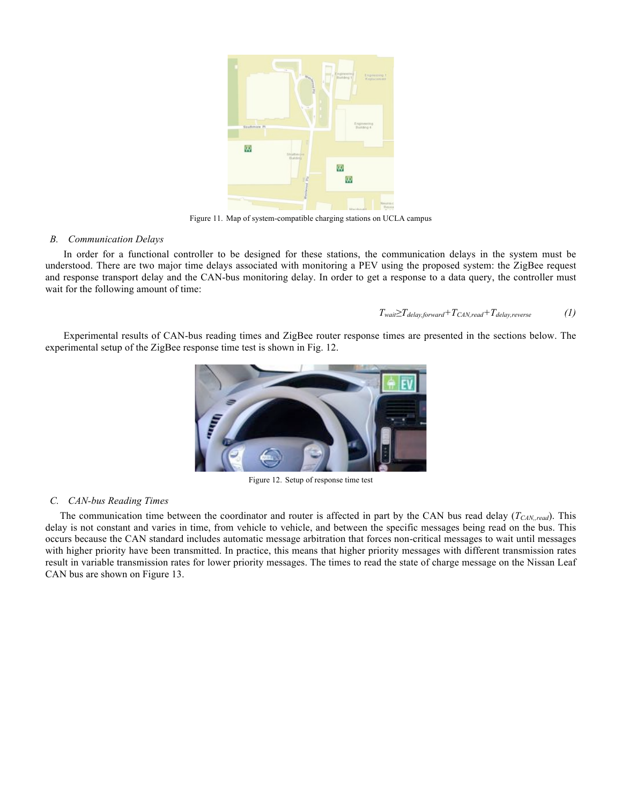

Figure 11. Map of system-compatible charging stations on UCLA campus

## *B. Communication Delays*

In order for a functional controller to be designed for these stations, the communication delays in the system must be understood. There are two major time delays associated with monitoring a PEV using the proposed system: the ZigBee request and response transport delay and the CAN-bus monitoring delay. In order to get a response to a data query, the controller must wait for the following amount of time:

 $T_{wait} \geq T_{delay,forward} + T_{CAN,read} + T_{delay,reverse}$  (1)

Experimental results of CAN-bus reading times and ZigBee router response times are presented in the sections below. The experimental setup of the ZigBee response time test is shown in Fig. 12.



Figure 12. Setup of response time test

# *C. CAN-bus Reading Times*

The communication time between the coordinator and router is affected in part by the CAN bus read delay  $(T_{CAN,read})$ . This delay is not constant and varies in time, from vehicle to vehicle, and between the specific messages being read on the bus. This occurs because the CAN standard includes automatic message arbitration that forces non-critical messages to wait until messages with higher priority have been transmitted. In practice, this means that higher priority messages with different transmission rates result in variable transmission rates for lower priority messages. The times to read the state of charge message on the Nissan Leaf CAN bus are shown on Figure 13.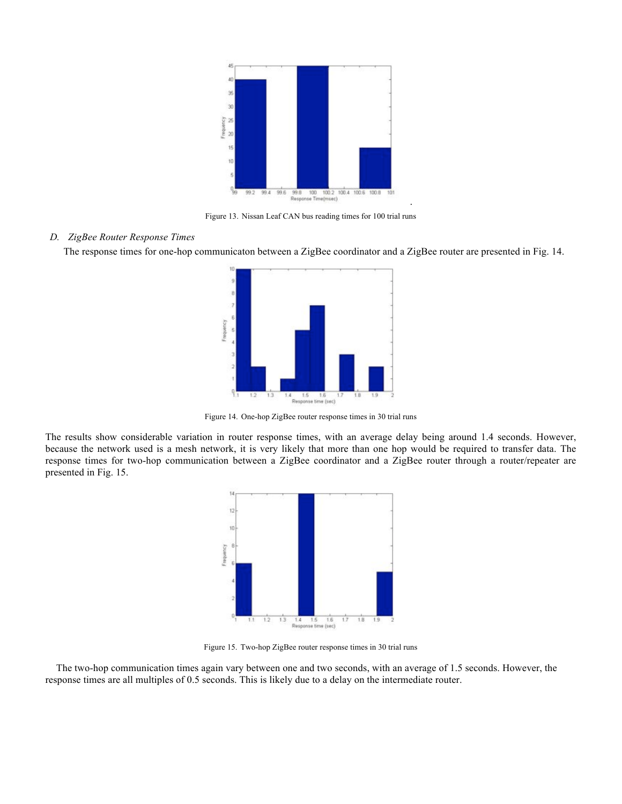

Figure 13. Nissan Leaf CAN bus reading times for 100 trial runs

.

# *D. ZigBee Router Response Times*

The response times for one-hop communicaton between a ZigBee coordinator and a ZigBee router are presented in Fig. 14.



Figure 14. One-hop ZigBee router response times in 30 trial runs

The results show considerable variation in router response times, with an average delay being around 1.4 seconds. However, because the network used is a mesh network, it is very likely that more than one hop would be required to transfer data. The response times for two-hop communication between a ZigBee coordinator and a ZigBee router through a router/repeater are presented in Fig. 15.



Figure 15. Two-hop ZigBee router response times in 30 trial runs

The two-hop communication times again vary between one and two seconds, with an average of 1.5 seconds. However, the response times are all multiples of 0.5 seconds. This is likely due to a delay on the intermediate router.